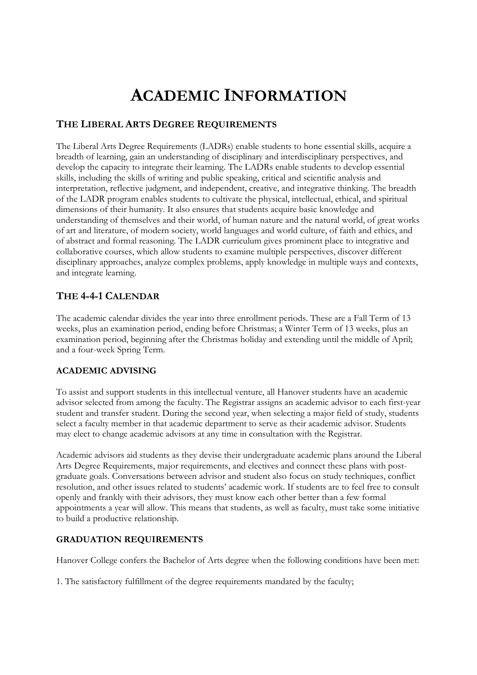# **ACADEMIC INFORMATION**

## **THE LIBERAL ARTS DEGREE REQUIREMENTS**

The Liberal Arts Degree Requirements (LADRs) enable students to hone essential skills, acquire a breadth of learning, gain an understanding of disciplinary and interdisciplinary perspectives, and develop the capacity to integrate their learning. The LADRs enable students to develop essential skills, including the skills of writing and public speaking, critical and scientific analysis and interpretation, reflective judgment, and independent, creative, and integrative thinking. The breadth of the LADR program enables students to cultivate the physical, intellectual, ethical, and spiritual dimensions of their humanity. It also ensures that students acquire basic knowledge and understanding of themselves and their world, of human nature and the natural world, of great works of art and literature, of modern society, world languages and world culture, of faith and ethics, and of abstract and formal reasoning. The LADR curriculum gives prominent place to integrative and collaborative courses, which allow students to examine multiple perspectives, discover different disciplinary approaches, analyze complex problems, apply knowledge in multiple ways and contexts, and integrate learning.

# **THE 4-4-1 CALENDAR**

The academic calendar divides the year into three enrollment periods. These are a Fall Term of 13 weeks, plus an examination period, ending before Christmas; a Winter Term of 13 weeks, plus an examination period, beginning after the Christmas holiday and extending until the middle of April; and a four-week Spring Term.

## **ACADEMIC ADVISING**

To assist and support students in this intellectual venture, all Hanover students have an academic advisor selected from among the faculty. The Registrar assigns an academic advisor to each first-year student and transfer student. During the second year, when selecting a major field of study, students select a faculty member in that academic department to serve as their academic advisor. Students may elect to change academic advisors at any time in consultation with the Registrar.

Academic advisors aid students as they devise their undergraduate academic plans around the Liberal Arts Degree Requirements, major requirements, and electives and connect these plans with postgraduate goals. Conversations between advisor and student also focus on study techniques, conflict resolution, and other issues related to students' academic work. If students are to feel free to consult openly and frankly with their advisors, they must know each other better than a few formal appointments a year will allow. This means that students, as well as faculty, must take some initiative to build a productive relationship.

## **GRADUATION REQUIREMENTS**

Hanover College confers the Bachelor of Arts degree when the following conditions have been met:

1. The satisfactory fulfillment of the degree requirements mandated by the faculty;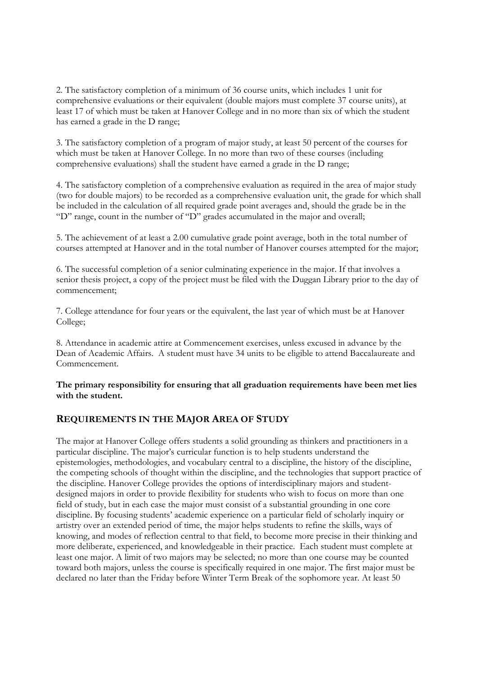2. The satisfactory completion of a minimum of 36 course units, which includes 1 unit for comprehensive evaluations or their equivalent (double majors must complete 37 course units), at least 17 of which must be taken at Hanover College and in no more than six of which the student has earned a grade in the D range;

3. The satisfactory completion of a program of major study, at least 50 percent of the courses for which must be taken at Hanover College. In no more than two of these courses (including comprehensive evaluations) shall the student have earned a grade in the D range;

4. The satisfactory completion of a comprehensive evaluation as required in the area of major study (two for double majors) to be recorded as a comprehensive evaluation unit, the grade for which shall be included in the calculation of all required grade point averages and, should the grade be in the "D" range, count in the number of "D" grades accumulated in the major and overall;

5. The achievement of at least a 2.00 cumulative grade point average, both in the total number of courses attempted at Hanover and in the total number of Hanover courses attempted for the major;

6. The successful completion of a senior culminating experience in the major. If that involves a senior thesis project, a copy of the project must be filed with the Duggan Library prior to the day of commencement;

7. College attendance for four years or the equivalent, the last year of which must be at Hanover College;

8. Attendance in academic attire at Commencement exercises, unless excused in advance by the Dean of Academic Affairs. A student must have 34 units to be eligible to attend Baccalaureate and Commencement.

## **The primary responsibility for ensuring that all graduation requirements have been met lies with the student.**

## **REQUIREMENTS IN THE MAJOR AREA OF STUDY**

The major at Hanover College offers students a solid grounding as thinkers and practitioners in a particular discipline. The major's curricular function is to help students understand the epistemologies, methodologies, and vocabulary central to a discipline, the history of the discipline, the competing schools of thought within the discipline, and the technologies that support practice of the discipline. Hanover College provides the options of interdisciplinary majors and studentdesigned majors in order to provide flexibility for students who wish to focus on more than one field of study, but in each case the major must consist of a substantial grounding in one core discipline. By focusing students' academic experience on a particular field of scholarly inquiry or artistry over an extended period of time, the major helps students to refine the skills, ways of knowing, and modes of reflection central to that field, to become more precise in their thinking and more deliberate, experienced, and knowledgeable in their practice. Each student must complete at least one major. A limit of two majors may be selected; no more than one course may be counted toward both majors, unless the course is specifically required in one major. The first major must be declared no later than the Friday before Winter Term Break of the sophomore year. At least 50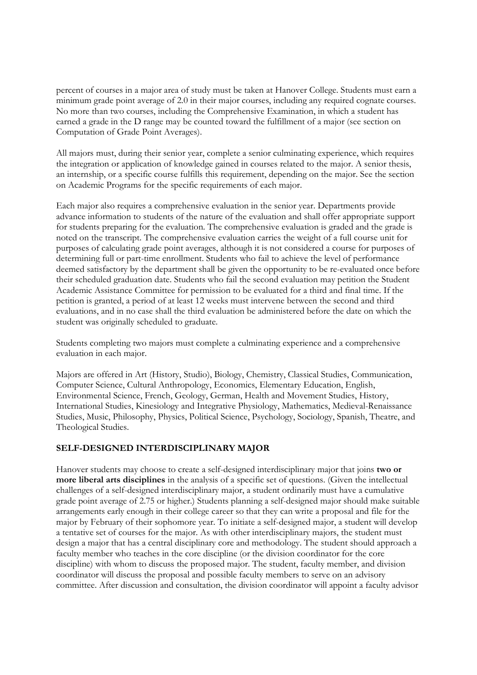percent of courses in a major area of study must be taken at Hanover College. Students must earn a minimum grade point average of 2.0 in their major courses, including any required cognate courses. No more than two courses, including the Comprehensive Examination, in which a student has earned a grade in the D range may be counted toward the fulfillment of a major (see section on Computation of Grade Point Averages).

All majors must, during their senior year, complete a senior culminating experience, which requires the integration or application of knowledge gained in courses related to the major. A senior thesis, an internship, or a specific course fulfills this requirement, depending on the major. See the section on Academic Programs for the specific requirements of each major.

Each major also requires a comprehensive evaluation in the senior year. Departments provide advance information to students of the nature of the evaluation and shall offer appropriate support for students preparing for the evaluation. The comprehensive evaluation is graded and the grade is noted on the transcript. The comprehensive evaluation carries the weight of a full course unit for purposes of calculating grade point averages, although it is not considered a course for purposes of determining full or part-time enrollment. Students who fail to achieve the level of performance deemed satisfactory by the department shall be given the opportunity to be re-evaluated once before their scheduled graduation date. Students who fail the second evaluation may petition the Student Academic Assistance Committee for permission to be evaluated for a third and final time. If the petition is granted, a period of at least 12 weeks must intervene between the second and third evaluations, and in no case shall the third evaluation be administered before the date on which the student was originally scheduled to graduate.

Students completing two majors must complete a culminating experience and a comprehensive evaluation in each major.

Majors are offered in Art (History, Studio), Biology, Chemistry, Classical Studies, Communication, Computer Science, Cultural Anthropology, Economics, Elementary Education, English, Environmental Science, French, Geology, German, Health and Movement Studies, History, International Studies, Kinesiology and Integrative Physiology, Mathematics, Medieval-Renaissance Studies, Music, Philosophy, Physics, Political Science, Psychology, Sociology, Spanish, Theatre, and Theological Studies.

## **SELF-DESIGNED INTERDISCIPLINARY MAJOR**

Hanover students may choose to create a self-designed interdisciplinary major that joins **two or more liberal arts disciplines** in the analysis of a specific set of questions. (Given the intellectual challenges of a self-designed interdisciplinary major, a student ordinarily must have a cumulative grade point average of 2.75 or higher.) Students planning a self-designed major should make suitable arrangements early enough in their college career so that they can write a proposal and file for the major by February of their sophomore year. To initiate a self-designed major, a student will develop a tentative set of courses for the major. As with other interdisciplinary majors, the student must design a major that has a central disciplinary core and methodology. The student should approach a faculty member who teaches in the core discipline (or the division coordinator for the core discipline) with whom to discuss the proposed major. The student, faculty member, and division coordinator will discuss the proposal and possible faculty members to serve on an advisory committee. After discussion and consultation, the division coordinator will appoint a faculty advisor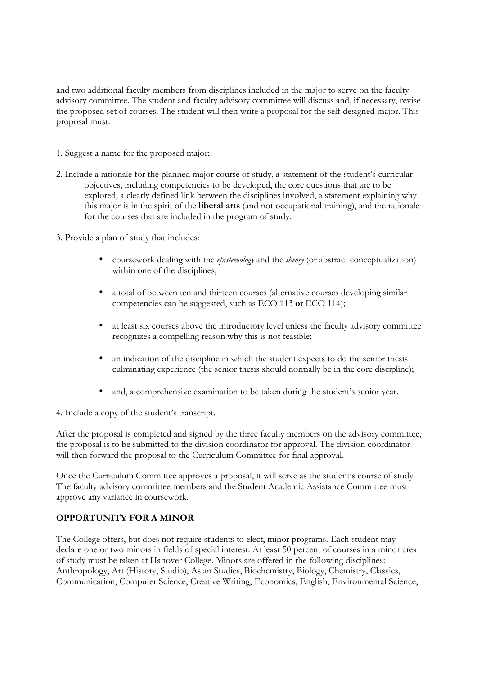and two additional faculty members from disciplines included in the major to serve on the faculty advisory committee. The student and faculty advisory committee will discuss and, if necessary, revise the proposed set of courses. The student will then write a proposal for the self-designed major. This proposal must:

- 1. Suggest a name for the proposed major;
- 2. Include a rationale for the planned major course of study, a statement of the student's curricular objectives, including competencies to be developed, the core questions that are to be explored, a clearly defined link between the disciplines involved, a statement explaining why this major is in the spirit of the **liberal arts** (and not occupational training), and the rationale for the courses that are included in the program of study;
- 3. Provide a plan of study that includes:
	- coursework dealing with the *epistemology* and the *theory* (or abstract conceptualization) within one of the disciplines;
	- a total of between ten and thirteen courses (alternative courses developing similar competencies can be suggested, such as ECO 113 **or** ECO 114);
	- at least six courses above the introductory level unless the faculty advisory committee recognizes a compelling reason why this is not feasible;
	- an indication of the discipline in which the student expects to do the senior thesis culminating experience (the senior thesis should normally be in the core discipline);
	- and, a comprehensive examination to be taken during the student's senior year.

4. Include a copy of the student's transcript.

After the proposal is completed and signed by the three faculty members on the advisory committee, the proposal is to be submitted to the division coordinator for approval. The division coordinator will then forward the proposal to the Curriculum Committee for final approval.

Once the Curriculum Committee approves a proposal, it will serve as the student's course of study. The faculty advisory committee members and the Student Academic Assistance Committee must approve any variance in coursework.

## **OPPORTUNITY FOR A MINOR**

The College offers, but does not require students to elect, minor programs. Each student may declare one or two minors in fields of special interest. At least 50 percent of courses in a minor area of study must be taken at Hanover College. Minors are offered in the following disciplines: Anthropology, Art (History, Studio), Asian Studies, Biochemistry, Biology, Chemistry, Classics, Communication, Computer Science, Creative Writing, Economics, English, Environmental Science,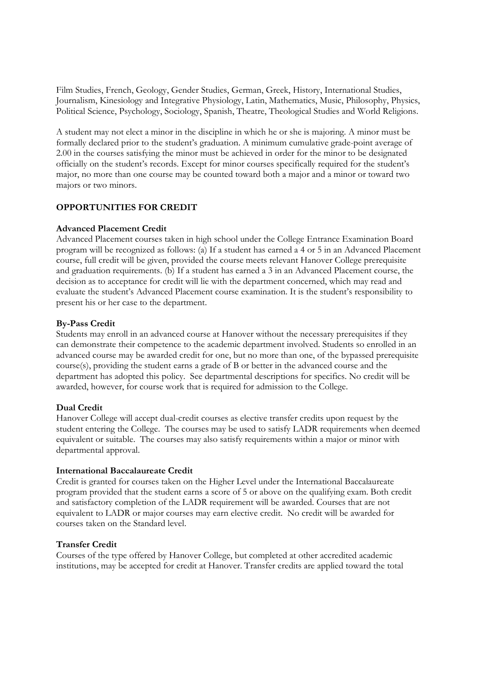Film Studies, French, Geology, Gender Studies, German, Greek, History, International Studies, Journalism, Kinesiology and Integrative Physiology, Latin, Mathematics, Music, Philosophy, Physics, Political Science, Psychology, Sociology, Spanish, Theatre, Theological Studies and World Religions.

A student may not elect a minor in the discipline in which he or she is majoring. A minor must be formally declared prior to the student's graduation. A minimum cumulative grade-point average of 2.00 in the courses satisfying the minor must be achieved in order for the minor to be designated officially on the student's records. Except for minor courses specifically required for the student's major, no more than one course may be counted toward both a major and a minor or toward two majors or two minors.

## **OPPORTUNITIES FOR CREDIT**

## **Advanced Placement Credit**

Advanced Placement courses taken in high school under the College Entrance Examination Board program will be recognized as follows: (a) If a student has earned a 4 or 5 in an Advanced Placement course, full credit will be given, provided the course meets relevant Hanover College prerequisite and graduation requirements. (b) If a student has earned a 3 in an Advanced Placement course, the decision as to acceptance for credit will lie with the department concerned, which may read and evaluate the student's Advanced Placement course examination. It is the student's responsibility to present his or her case to the department.

#### **By-Pass Credit**

Students may enroll in an advanced course at Hanover without the necessary prerequisites if they can demonstrate their competence to the academic department involved. Students so enrolled in an advanced course may be awarded credit for one, but no more than one, of the bypassed prerequisite course(s), providing the student earns a grade of B or better in the advanced course and the department has adopted this policy. See departmental descriptions for specifics. No credit will be awarded, however, for course work that is required for admission to the College.

#### **Dual Credit**

Hanover College will accept dual-credit courses as elective transfer credits upon request by the student entering the College. The courses may be used to satisfy LADR requirements when deemed equivalent or suitable. The courses may also satisfy requirements within a major or minor with departmental approval.

#### **International Baccalaureate Credit**

Credit is granted for courses taken on the Higher Level under the International Baccalaureate program provided that the student earns a score of 5 or above on the qualifying exam. Both credit and satisfactory completion of the LADR requirement will be awarded. Courses that are not equivalent to LADR or major courses may earn elective credit. No credit will be awarded for courses taken on the Standard level.

## **Transfer Credit**

Courses of the type offered by Hanover College, but completed at other accredited academic institutions, may be accepted for credit at Hanover. Transfer credits are applied toward the total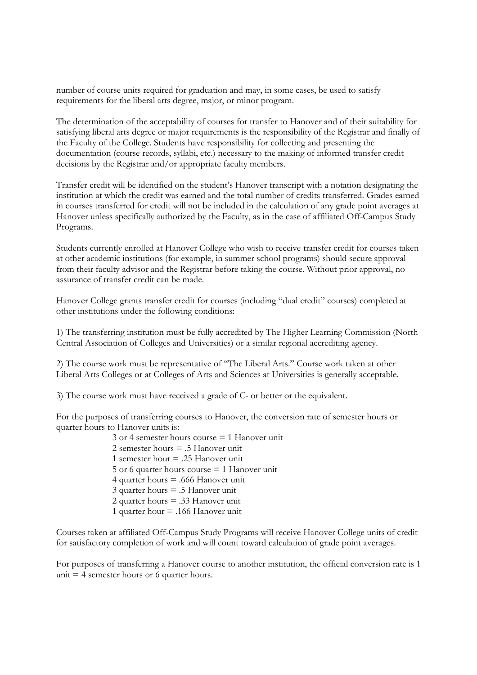number of course units required for graduation and may, in some cases, be used to satisfy requirements for the liberal arts degree, major, or minor program.

The determination of the acceptability of courses for transfer to Hanover and of their suitability for satisfying liberal arts degree or major requirements is the responsibility of the Registrar and finally of the Faculty of the College. Students have responsibility for collecting and presenting the documentation (course records, syllabi, etc.) necessary to the making of informed transfer credit decisions by the Registrar and/or appropriate faculty members.

Transfer credit will be identified on the student's Hanover transcript with a notation designating the institution at which the credit was earned and the total number of credits transferred. Grades earned in courses transferred for credit will not be included in the calculation of any grade point averages at Hanover unless specifically authorized by the Faculty, as in the case of affiliated Off-Campus Study Programs.

Students currently enrolled at Hanover College who wish to receive transfer credit for courses taken at other academic institutions (for example, in summer school programs) should secure approval from their faculty advisor and the Registrar before taking the course. Without prior approval, no assurance of transfer credit can be made.

Hanover College grants transfer credit for courses (including "dual credit" courses) completed at other institutions under the following conditions:

1) The transferring institution must be fully accredited by The Higher Learning Commission (North Central Association of Colleges and Universities) or a similar regional accrediting agency.

2) The course work must be representative of "The Liberal Arts." Course work taken at other Liberal Arts Colleges or at Colleges of Arts and Sciences at Universities is generally acceptable.

3) The course work must have received a grade of C- or better or the equivalent.

For the purposes of transferring courses to Hanover, the conversion rate of semester hours or quarter hours to Hanover units is:

> 3 or 4 semester hours course = 1 Hanover unit 2 semester hours  $= 5$  Hanover unit 1 semester hour = .25 Hanover unit 5 or 6 quarter hours course = 1 Hanover unit 4 quarter hours = .666 Hanover unit 3 quarter hours = .5 Hanover unit 2 quarter hours = .33 Hanover unit 1 quarter hour = .166 Hanover unit

Courses taken at affiliated Off-Campus Study Programs will receive Hanover College units of credit for satisfactory completion of work and will count toward calculation of grade point averages.

For purposes of transferring a Hanover course to another institution, the official conversion rate is 1 unit  $=$  4 semester hours or 6 quarter hours.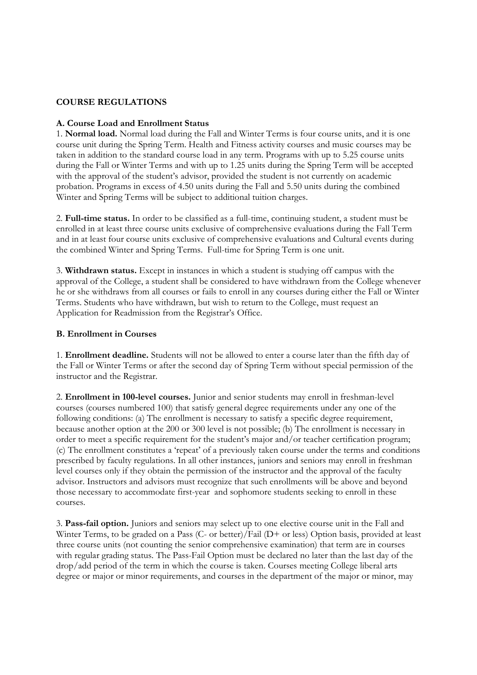#### **COURSE REGULATIONS**

#### **A. Course Load and Enrollment Status**

1. **Normal load.** Normal load during the Fall and Winter Terms is four course units, and it is one course unit during the Spring Term. Health and Fitness activity courses and music courses may be taken in addition to the standard course load in any term. Programs with up to 5.25 course units during the Fall or Winter Terms and with up to 1.25 units during the Spring Term will be accepted with the approval of the student's advisor, provided the student is not currently on academic probation. Programs in excess of 4.50 units during the Fall and 5.50 units during the combined Winter and Spring Terms will be subject to additional tuition charges.

2. **Full-time status.** In order to be classified as a full-time, continuing student, a student must be enrolled in at least three course units exclusive of comprehensive evaluations during the Fall Term and in at least four course units exclusive of comprehensive evaluations and Cultural events during the combined Winter and Spring Terms. Full-time for Spring Term is one unit.

3. **Withdrawn status.** Except in instances in which a student is studying off campus with the approval of the College, a student shall be considered to have withdrawn from the College whenever he or she withdraws from all courses or fails to enroll in any courses during either the Fall or Winter Terms. Students who have withdrawn, but wish to return to the College, must request an Application for Readmission from the Registrar's Office.

#### **B. Enrollment in Courses**

1. **Enrollment deadline.** Students will not be allowed to enter a course later than the fifth day of the Fall or Winter Terms or after the second day of Spring Term without special permission of the instructor and the Registrar.

2. **Enrollment in 100-level courses.** Junior and senior students may enroll in freshman-level courses (courses numbered 100) that satisfy general degree requirements under any one of the following conditions: (a) The enrollment is necessary to satisfy a specific degree requirement, because another option at the 200 or 300 level is not possible; (b) The enrollment is necessary in order to meet a specific requirement for the student's major and/or teacher certification program; (c) The enrollment constitutes a 'repeat' of a previously taken course under the terms and conditions prescribed by faculty regulations. In all other instances, juniors and seniors may enroll in freshman level courses only if they obtain the permission of the instructor and the approval of the faculty advisor. Instructors and advisors must recognize that such enrollments will be above and beyond those necessary to accommodate first-year and sophomore students seeking to enroll in these courses.

3. **Pass-fail option.** Juniors and seniors may select up to one elective course unit in the Fall and Winter Terms, to be graded on a Pass (C- or better)/Fail (D+ or less) Option basis, provided at least three course units (not counting the senior comprehensive examination) that term are in courses with regular grading status. The Pass-Fail Option must be declared no later than the last day of the drop/add period of the term in which the course is taken. Courses meeting College liberal arts degree or major or minor requirements, and courses in the department of the major or minor, may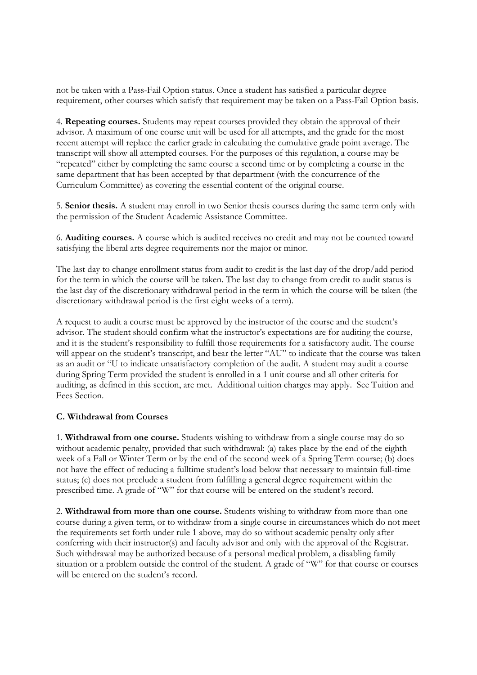not be taken with a Pass-Fail Option status. Once a student has satisfied a particular degree requirement, other courses which satisfy that requirement may be taken on a Pass-Fail Option basis.

4. **Repeating courses.** Students may repeat courses provided they obtain the approval of their advisor. A maximum of one course unit will be used for all attempts, and the grade for the most recent attempt will replace the earlier grade in calculating the cumulative grade point average. The transcript will show all attempted courses. For the purposes of this regulation, a course may be "repeated" either by completing the same course a second time or by completing a course in the same department that has been accepted by that department (with the concurrence of the Curriculum Committee) as covering the essential content of the original course.

5. **Senior thesis.** A student may enroll in two Senior thesis courses during the same term only with the permission of the Student Academic Assistance Committee.

6. **Auditing courses.** A course which is audited receives no credit and may not be counted toward satisfying the liberal arts degree requirements nor the major or minor.

The last day to change enrollment status from audit to credit is the last day of the drop/add period for the term in which the course will be taken. The last day to change from credit to audit status is the last day of the discretionary withdrawal period in the term in which the course will be taken (the discretionary withdrawal period is the first eight weeks of a term).

A request to audit a course must be approved by the instructor of the course and the student's advisor. The student should confirm what the instructor's expectations are for auditing the course, and it is the student's responsibility to fulfill those requirements for a satisfactory audit. The course will appear on the student's transcript, and bear the letter "AU" to indicate that the course was taken as an audit or "U to indicate unsatisfactory completion of the audit. A student may audit a course during Spring Term provided the student is enrolled in a 1 unit course and all other criteria for auditing, as defined in this section, are met. Additional tuition charges may apply. See Tuition and Fees Section.

## **C. Withdrawal from Courses**

1. **Withdrawal from one course.** Students wishing to withdraw from a single course may do so without academic penalty, provided that such withdrawal: (a) takes place by the end of the eighth week of a Fall or Winter Term or by the end of the second week of a Spring Term course; (b) does not have the effect of reducing a fulltime student's load below that necessary to maintain full-time status; (c) does not preclude a student from fulfilling a general degree requirement within the prescribed time. A grade of "W" for that course will be entered on the student's record.

2. **Withdrawal from more than one course.** Students wishing to withdraw from more than one course during a given term, or to withdraw from a single course in circumstances which do not meet the requirements set forth under rule 1 above, may do so without academic penalty only after conferring with their instructor(s) and faculty advisor and only with the approval of the Registrar. Such withdrawal may be authorized because of a personal medical problem, a disabling family situation or a problem outside the control of the student. A grade of "W" for that course or courses will be entered on the student's record.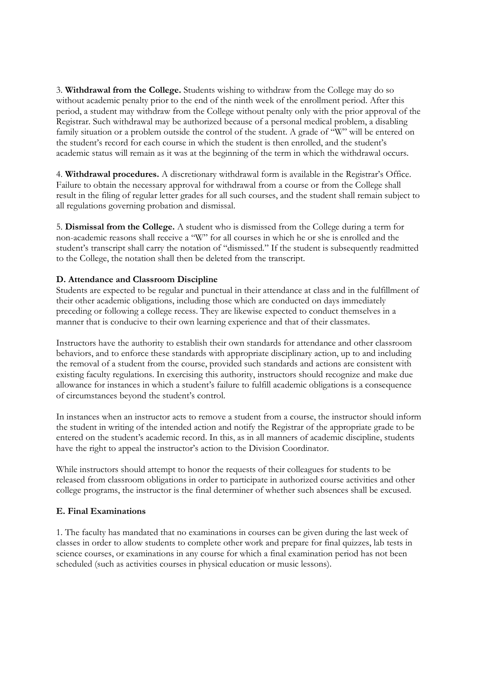3. **Withdrawal from the College.** Students wishing to withdraw from the College may do so without academic penalty prior to the end of the ninth week of the enrollment period. After this period, a student may withdraw from the College without penalty only with the prior approval of the Registrar. Such withdrawal may be authorized because of a personal medical problem, a disabling family situation or a problem outside the control of the student. A grade of "W" will be entered on the student's record for each course in which the student is then enrolled, and the student's academic status will remain as it was at the beginning of the term in which the withdrawal occurs.

4. **Withdrawal procedures.** A discretionary withdrawal form is available in the Registrar's Office. Failure to obtain the necessary approval for withdrawal from a course or from the College shall result in the filing of regular letter grades for all such courses, and the student shall remain subject to all regulations governing probation and dismissal.

5. **Dismissal from the College.** A student who is dismissed from the College during a term for non-academic reasons shall receive a "W" for all courses in which he or she is enrolled and the student's transcript shall carry the notation of "dismissed." If the student is subsequently readmitted to the College, the notation shall then be deleted from the transcript.

## **D. Attendance and Classroom Discipline**

Students are expected to be regular and punctual in their attendance at class and in the fulfillment of their other academic obligations, including those which are conducted on days immediately preceding or following a college recess. They are likewise expected to conduct themselves in a manner that is conducive to their own learning experience and that of their classmates.

Instructors have the authority to establish their own standards for attendance and other classroom behaviors, and to enforce these standards with appropriate disciplinary action, up to and including the removal of a student from the course, provided such standards and actions are consistent with existing faculty regulations. In exercising this authority, instructors should recognize and make due allowance for instances in which a student's failure to fulfill academic obligations is a consequence of circumstances beyond the student's control.

In instances when an instructor acts to remove a student from a course, the instructor should inform the student in writing of the intended action and notify the Registrar of the appropriate grade to be entered on the student's academic record. In this, as in all manners of academic discipline, students have the right to appeal the instructor's action to the Division Coordinator.

While instructors should attempt to honor the requests of their colleagues for students to be released from classroom obligations in order to participate in authorized course activities and other college programs, the instructor is the final determiner of whether such absences shall be excused.

#### **E. Final Examinations**

1. The faculty has mandated that no examinations in courses can be given during the last week of classes in order to allow students to complete other work and prepare for final quizzes, lab tests in science courses, or examinations in any course for which a final examination period has not been scheduled (such as activities courses in physical education or music lessons).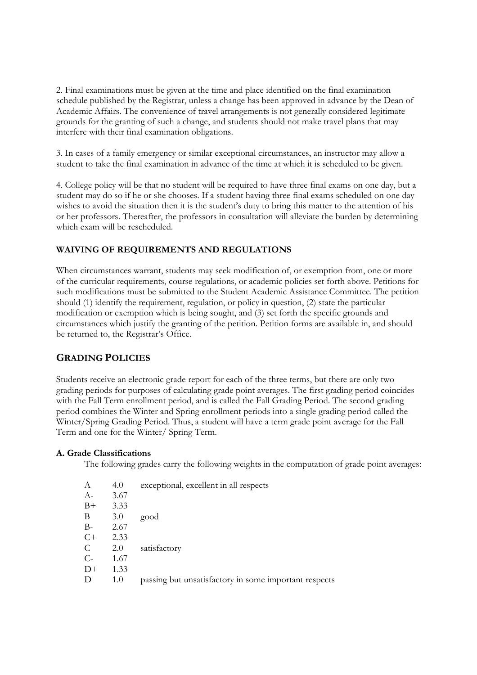2. Final examinations must be given at the time and place identified on the final examination schedule published by the Registrar, unless a change has been approved in advance by the Dean of Academic Affairs. The convenience of travel arrangements is not generally considered legitimate grounds for the granting of such a change, and students should not make travel plans that may interfere with their final examination obligations.

3. In cases of a family emergency or similar exceptional circumstances, an instructor may allow a student to take the final examination in advance of the time at which it is scheduled to be given.

4. College policy will be that no student will be required to have three final exams on one day, but a student may do so if he or she chooses. If a student having three final exams scheduled on one day wishes to avoid the situation then it is the student's duty to bring this matter to the attention of his or her professors. Thereafter, the professors in consultation will alleviate the burden by determining which exam will be rescheduled.

## **WAIVING OF REQUIREMENTS AND REGULATIONS**

When circumstances warrant, students may seek modification of, or exemption from, one or more of the curricular requirements, course regulations, or academic policies set forth above. Petitions for such modifications must be submitted to the Student Academic Assistance Committee. The petition should (1) identify the requirement, regulation, or policy in question, (2) state the particular modification or exemption which is being sought, and (3) set forth the specific grounds and circumstances which justify the granting of the petition. Petition forms are available in, and should be returned to, the Registrar's Office.

## **GRADING POLICIES**

Students receive an electronic grade report for each of the three terms, but there are only two grading periods for purposes of calculating grade point averages. The first grading period coincides with the Fall Term enrollment period, and is called the Fall Grading Period. The second grading period combines the Winter and Spring enrollment periods into a single grading period called the Winter/Spring Grading Period. Thus, a student will have a term grade point average for the Fall Term and one for the Winter/ Spring Term.

#### **A. Grade Classifications**

The following grades carry the following weights in the computation of grade point averages:

| А    | 4.0  | exceptional, excellent in all respects                |
|------|------|-------------------------------------------------------|
| $A-$ | 3.67 |                                                       |
| $B+$ | 3.33 |                                                       |
| В    | 3.0  | good                                                  |
| $B-$ | 2.67 |                                                       |
| $C+$ | 2.33 |                                                       |
| C    | 2.0  | satisfactory                                          |
| $C-$ | 1.67 |                                                       |
| $D+$ | 1.33 |                                                       |
| D    | 1.0  | passing but unsatisfactory in some important respects |
|      |      |                                                       |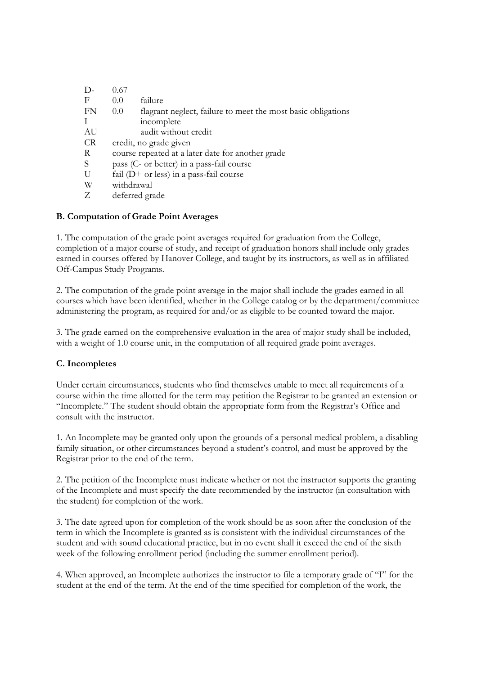| D-        | 0.67                                                                             |  |
|-----------|----------------------------------------------------------------------------------|--|
| F         | failure<br>$0.0^{\circ}$                                                         |  |
| FN        | flagrant neglect, failure to meet the most basic obligations<br>0.0 <sub>1</sub> |  |
|           | incomplete                                                                       |  |
| AU        | audit without credit                                                             |  |
| <b>CR</b> | credit, no grade given                                                           |  |
| R         | course repeated at a later date for another grade                                |  |
| S         | pass (C- or better) in a pass-fail course                                        |  |
| U         | fail $(D+$ or less) in a pass-fail course                                        |  |
| W         | withdrawal                                                                       |  |
|           | deferred grade                                                                   |  |

## **B. Computation of Grade Point Averages**

1. The computation of the grade point averages required for graduation from the College, completion of a major course of study, and receipt of graduation honors shall include only grades earned in courses offered by Hanover College, and taught by its instructors, as well as in affiliated Off-Campus Study Programs.

2. The computation of the grade point average in the major shall include the grades earned in all courses which have been identified, whether in the College catalog or by the department/committee administering the program, as required for and/or as eligible to be counted toward the major.

3. The grade earned on the comprehensive evaluation in the area of major study shall be included, with a weight of 1.0 course unit, in the computation of all required grade point averages.

## **C. Incompletes**

Under certain circumstances, students who find themselves unable to meet all requirements of a course within the time allotted for the term may petition the Registrar to be granted an extension or "Incomplete." The student should obtain the appropriate form from the Registrar's Office and consult with the instructor.

1. An Incomplete may be granted only upon the grounds of a personal medical problem, a disabling family situation, or other circumstances beyond a student's control, and must be approved by the Registrar prior to the end of the term.

2. The petition of the Incomplete must indicate whether or not the instructor supports the granting of the Incomplete and must specify the date recommended by the instructor (in consultation with the student) for completion of the work.

3. The date agreed upon for completion of the work should be as soon after the conclusion of the term in which the Incomplete is granted as is consistent with the individual circumstances of the student and with sound educational practice, but in no event shall it exceed the end of the sixth week of the following enrollment period (including the summer enrollment period).

4. When approved, an Incomplete authorizes the instructor to file a temporary grade of "I" for the student at the end of the term. At the end of the time specified for completion of the work, the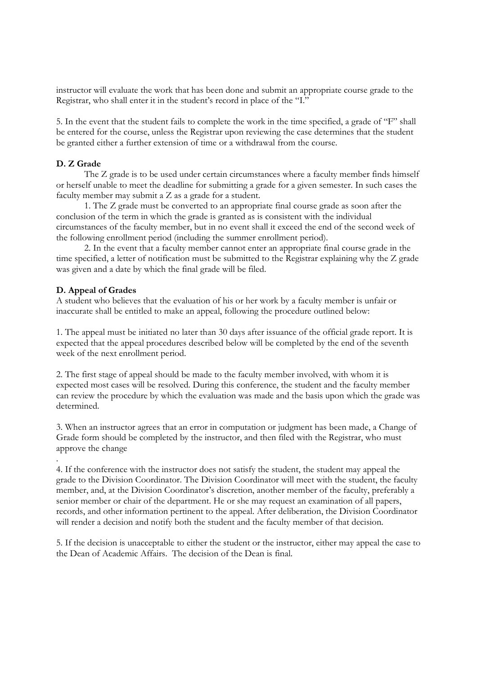instructor will evaluate the work that has been done and submit an appropriate course grade to the Registrar, who shall enter it in the student's record in place of the "I."

5. In the event that the student fails to complete the work in the time specified, a grade of "F" shall be entered for the course, unless the Registrar upon reviewing the case determines that the student be granted either a further extension of time or a withdrawal from the course.

#### **D. Z Grade**

 The Z grade is to be used under certain circumstances where a faculty member finds himself or herself unable to meet the deadline for submitting a grade for a given semester. In such cases the faculty member may submit a Z as a grade for a student.

 1. The Z grade must be converted to an appropriate final course grade as soon after the conclusion of the term in which the grade is granted as is consistent with the individual circumstances of the faculty member, but in no event shall it exceed the end of the second week of the following enrollment period (including the summer enrollment period).

 2. In the event that a faculty member cannot enter an appropriate final course grade in the time specified, a letter of notification must be submitted to the Registrar explaining why the Z grade was given and a date by which the final grade will be filed.

#### **D. Appeal of Grades**

A student who believes that the evaluation of his or her work by a faculty member is unfair or inaccurate shall be entitled to make an appeal, following the procedure outlined below:

1. The appeal must be initiated no later than 30 days after issuance of the official grade report. It is expected that the appeal procedures described below will be completed by the end of the seventh week of the next enrollment period.

2. The first stage of appeal should be made to the faculty member involved, with whom it is expected most cases will be resolved. During this conference, the student and the faculty member can review the procedure by which the evaluation was made and the basis upon which the grade was determined.

3. When an instructor agrees that an error in computation or judgment has been made, a Change of Grade form should be completed by the instructor, and then filed with the Registrar, who must approve the change

. 4. If the conference with the instructor does not satisfy the student, the student may appeal the grade to the Division Coordinator. The Division Coordinator will meet with the student, the faculty member, and, at the Division Coordinator's discretion, another member of the faculty, preferably a senior member or chair of the department. He or she may request an examination of all papers, records, and other information pertinent to the appeal. After deliberation, the Division Coordinator will render a decision and notify both the student and the faculty member of that decision.

5. If the decision is unacceptable to either the student or the instructor, either may appeal the case to the Dean of Academic Affairs. The decision of the Dean is final.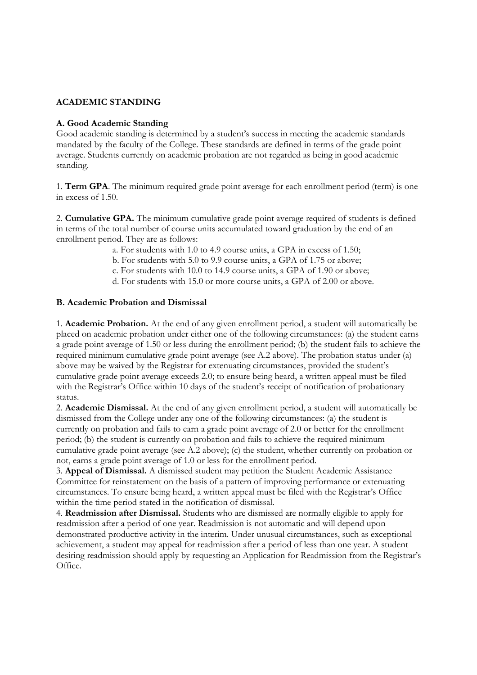## **ACADEMIC STANDING**

#### **A. Good Academic Standing**

Good academic standing is determined by a student's success in meeting the academic standards mandated by the faculty of the College. These standards are defined in terms of the grade point average. Students currently on academic probation are not regarded as being in good academic standing.

1. **Term GPA**. The minimum required grade point average for each enrollment period (term) is one in excess of 1.50.

2. **Cumulative GPA.** The minimum cumulative grade point average required of students is defined in terms of the total number of course units accumulated toward graduation by the end of an enrollment period. They are as follows:

a. For students with 1.0 to 4.9 course units, a GPA in excess of 1.50;

b. For students with 5.0 to 9.9 course units, a GPA of 1.75 or above;

c. For students with 10.0 to 14.9 course units, a GPA of 1.90 or above;

d. For students with 15.0 or more course units, a GPA of 2.00 or above.

#### **B. Academic Probation and Dismissal**

1. **Academic Probation.** At the end of any given enrollment period, a student will automatically be placed on academic probation under either one of the following circumstances: (a) the student earns a grade point average of 1.50 or less during the enrollment period; (b) the student fails to achieve the required minimum cumulative grade point average (see A.2 above). The probation status under (a) above may be waived by the Registrar for extenuating circumstances, provided the student's cumulative grade point average exceeds 2.0; to ensure being heard, a written appeal must be filed with the Registrar's Office within 10 days of the student's receipt of notification of probationary status.

2. **Academic Dismissal.** At the end of any given enrollment period, a student will automatically be dismissed from the College under any one of the following circumstances: (a) the student is currently on probation and fails to earn a grade point average of 2.0 or better for the enrollment period; (b) the student is currently on probation and fails to achieve the required minimum cumulative grade point average (see A.2 above); (c) the student, whether currently on probation or not, earns a grade point average of 1.0 or less for the enrollment period.

3. **Appeal of Dismissal.** A dismissed student may petition the Student Academic Assistance Committee for reinstatement on the basis of a pattern of improving performance or extenuating circumstances. To ensure being heard, a written appeal must be filed with the Registrar's Office within the time period stated in the notification of dismissal.

4. **Readmission after Dismissal.** Students who are dismissed are normally eligible to apply for readmission after a period of one year. Readmission is not automatic and will depend upon demonstrated productive activity in the interim. Under unusual circumstances, such as exceptional achievement, a student may appeal for readmission after a period of less than one year. A student desiring readmission should apply by requesting an Application for Readmission from the Registrar's Office.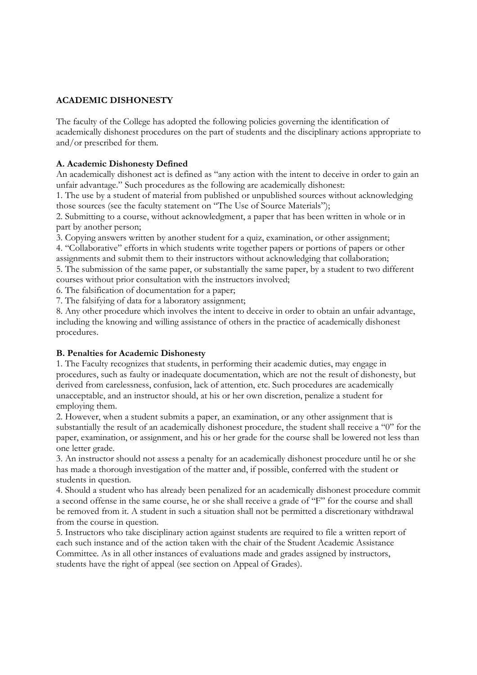## **ACADEMIC DISHONESTY**

The faculty of the College has adopted the following policies governing the identification of academically dishonest procedures on the part of students and the disciplinary actions appropriate to and/or prescribed for them.

## **A. Academic Dishonesty Defined**

An academically dishonest act is defined as "any action with the intent to deceive in order to gain an unfair advantage." Such procedures as the following are academically dishonest:

1. The use by a student of material from published or unpublished sources without acknowledging those sources (see the faculty statement on "The Use of Source Materials");

2. Submitting to a course, without acknowledgment, a paper that has been written in whole or in part by another person;

3. Copying answers written by another student for a quiz, examination, or other assignment;

4. "Collaborative" efforts in which students write together papers or portions of papers or other assignments and submit them to their instructors without acknowledging that collaboration;

5. The submission of the same paper, or substantially the same paper, by a student to two different courses without prior consultation with the instructors involved;

6. The falsification of documentation for a paper;

7. The falsifying of data for a laboratory assignment;

8. Any other procedure which involves the intent to deceive in order to obtain an unfair advantage, including the knowing and willing assistance of others in the practice of academically dishonest procedures.

## **B. Penalties for Academic Dishonesty**

1. The Faculty recognizes that students, in performing their academic duties, may engage in procedures, such as faulty or inadequate documentation, which are not the result of dishonesty, but derived from carelessness, confusion, lack of attention, etc. Such procedures are academically unacceptable, and an instructor should, at his or her own discretion, penalize a student for employing them.

2. However, when a student submits a paper, an examination, or any other assignment that is substantially the result of an academically dishonest procedure, the student shall receive a "0" for the paper, examination, or assignment, and his or her grade for the course shall be lowered not less than one letter grade.

3. An instructor should not assess a penalty for an academically dishonest procedure until he or she has made a thorough investigation of the matter and, if possible, conferred with the student or students in question.

4. Should a student who has already been penalized for an academically dishonest procedure commit a second offense in the same course, he or she shall receive a grade of "F" for the course and shall be removed from it. A student in such a situation shall not be permitted a discretionary withdrawal from the course in question.

5. Instructors who take disciplinary action against students are required to file a written report of each such instance and of the action taken with the chair of the Student Academic Assistance Committee. As in all other instances of evaluations made and grades assigned by instructors, students have the right of appeal (see section on Appeal of Grades).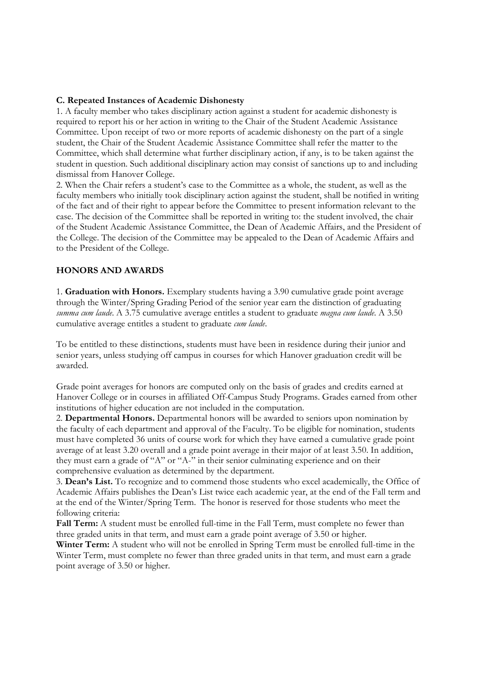#### **C. Repeated Instances of Academic Dishonesty**

1. A faculty member who takes disciplinary action against a student for academic dishonesty is required to report his or her action in writing to the Chair of the Student Academic Assistance Committee. Upon receipt of two or more reports of academic dishonesty on the part of a single student, the Chair of the Student Academic Assistance Committee shall refer the matter to the Committee, which shall determine what further disciplinary action, if any, is to be taken against the student in question. Such additional disciplinary action may consist of sanctions up to and including dismissal from Hanover College.

2. When the Chair refers a student's case to the Committee as a whole, the student, as well as the faculty members who initially took disciplinary action against the student, shall be notified in writing of the fact and of their right to appear before the Committee to present information relevant to the case. The decision of the Committee shall be reported in writing to: the student involved, the chair of the Student Academic Assistance Committee, the Dean of Academic Affairs, and the President of the College. The decision of the Committee may be appealed to the Dean of Academic Affairs and to the President of the College.

#### **HONORS AND AWARDS**

1. **Graduation with Honors.** Exemplary students having a 3.90 cumulative grade point average through the Winter/Spring Grading Period of the senior year earn the distinction of graduating *summa cum laude*. A 3.75 cumulative average entitles a student to graduate *magna cum laude*. A 3.50 cumulative average entitles a student to graduate *cum laude*.

To be entitled to these distinctions, students must have been in residence during their junior and senior years, unless studying off campus in courses for which Hanover graduation credit will be awarded.

Grade point averages for honors are computed only on the basis of grades and credits earned at Hanover College or in courses in affiliated Off-Campus Study Programs. Grades earned from other institutions of higher education are not included in the computation.

2. **Departmental Honors.** Departmental honors will be awarded to seniors upon nomination by the faculty of each department and approval of the Faculty. To be eligible for nomination, students must have completed 36 units of course work for which they have earned a cumulative grade point average of at least 3.20 overall and a grade point average in their major of at least 3.50. In addition, they must earn a grade of "A" or "A-" in their senior culminating experience and on their comprehensive evaluation as determined by the department.

3. **Dean's List.** To recognize and to commend those students who excel academically, the Office of Academic Affairs publishes the Dean's List twice each academic year, at the end of the Fall term and at the end of the Winter/Spring Term. The honor is reserved for those students who meet the following criteria:

**Fall Term:** A student must be enrolled full-time in the Fall Term, must complete no fewer than three graded units in that term, and must earn a grade point average of 3.50 or higher.

**Winter Term:** A student who will not be enrolled in Spring Term must be enrolled full-time in the Winter Term, must complete no fewer than three graded units in that term, and must earn a grade point average of 3.50 or higher.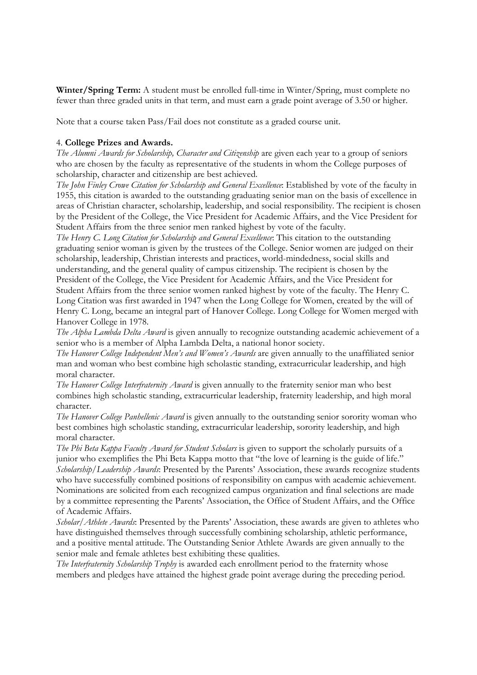**Winter/Spring Term:** A student must be enrolled full-time in Winter/Spring, must complete no fewer than three graded units in that term, and must earn a grade point average of 3.50 or higher.

Note that a course taken Pass/Fail does not constitute as a graded course unit.

#### 4. **College Prizes and Awards.**

*The Alumni Awards for Scholarship, Character and Citizenship* are given each year to a group of seniors who are chosen by the faculty as representative of the students in whom the College purposes of scholarship, character and citizenship are best achieved.

*The John Finley Crowe Citation for Scholarship and General Excellence*: Established by vote of the faculty in 1955, this citation is awarded to the outstanding graduating senior man on the basis of excellence in areas of Christian character, scholarship, leadership, and social responsibility. The recipient is chosen by the President of the College, the Vice President for Academic Affairs, and the Vice President for Student Affairs from the three senior men ranked highest by vote of the faculty.

*The Henry C. Long Citation for Scholarship and General Excellence*: This citation to the outstanding graduating senior woman is given by the trustees of the College. Senior women are judged on their scholarship, leadership, Christian interests and practices, world-mindedness, social skills and understanding, and the general quality of campus citizenship. The recipient is chosen by the President of the College, the Vice President for Academic Affairs, and the Vice President for Student Affairs from the three senior women ranked highest by vote of the faculty. The Henry C. Long Citation was first awarded in 1947 when the Long College for Women, created by the will of Henry C. Long, became an integral part of Hanover College. Long College for Women merged with Hanover College in 1978.

*The Alpha Lambda Delta Award* is given annually to recognize outstanding academic achievement of a senior who is a member of Alpha Lambda Delta, a national honor society.

*The Hanover College Independent Men's and Women's Awards* are given annually to the unaffiliated senior man and woman who best combine high scholastic standing, extracurricular leadership, and high moral character.

*The Hanover College Interfraternity Award* is given annually to the fraternity senior man who best combines high scholastic standing, extracurricular leadership, fraternity leadership, and high moral character.

*The Hanover College Panhellenic Award* is given annually to the outstanding senior sorority woman who best combines high scholastic standing, extracurricular leadership, sorority leadership, and high moral character.

*The Phi Beta Kappa Faculty Award for Student Scholars* is given to support the scholarly pursuits of a junior who exemplifies the Phi Beta Kappa motto that "the love of learning is the guide of life." *Scholarship/Leadership Awards*: Presented by the Parents' Association, these awards recognize students who have successfully combined positions of responsibility on campus with academic achievement. Nominations are solicited from each recognized campus organization and final selections are made by a committee representing the Parents' Association, the Office of Student Affairs, and the Office of Academic Affairs.

*Scholar/Athlete Awards*: Presented by the Parents' Association, these awards are given to athletes who have distinguished themselves through successfully combining scholarship, athletic performance, and a positive mental attitude. The Outstanding Senior Athlete Awards are given annually to the senior male and female athletes best exhibiting these qualities.

*The Interfraternity Scholarship Trophy* is awarded each enrollment period to the fraternity whose members and pledges have attained the highest grade point average during the preceding period.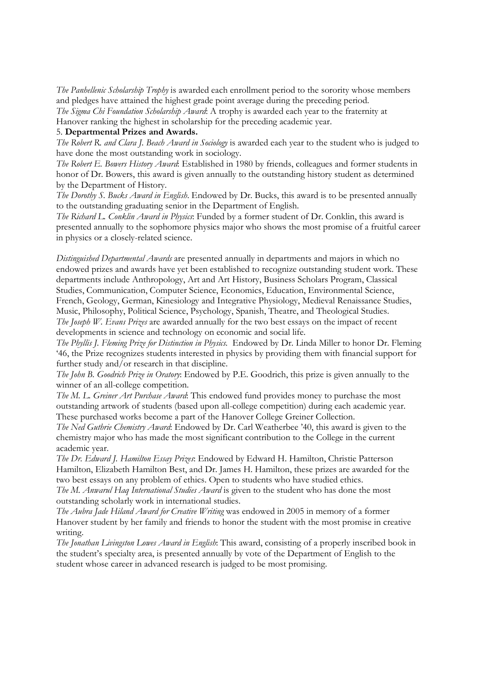*The Panhellenic Scholarship Trophy* is awarded each enrollment period to the sorority whose members and pledges have attained the highest grade point average during the preceding period.

*The Sigma Chi Foundation Scholarship Award*: A trophy is awarded each year to the fraternity at Hanover ranking the highest in scholarship for the preceding academic year.

#### 5. **Departmental Prizes and Awards.**

*The Robert R. and Clara J. Beach Award in Sociology* is awarded each year to the student who is judged to have done the most outstanding work in sociology.

*The Robert E. Bowers History Award*: Established in 1980 by friends, colleagues and former students in honor of Dr. Bowers, this award is given annually to the outstanding history student as determined by the Department of History.

*The Dorothy S. Bucks Award in English*. Endowed by Dr. Bucks, this award is to be presented annually to the outstanding graduating senior in the Department of English.

*The Richard L. Conklin Award in Physics*: Funded by a former student of Dr. Conklin, this award is presented annually to the sophomore physics major who shows the most promise of a fruitful career in physics or a closely-related science.

*Distinguished Departmental Awards* are presented annually in departments and majors in which no endowed prizes and awards have yet been established to recognize outstanding student work. These departments include Anthropology, Art and Art History, Business Scholars Program, Classical Studies, Communication, Computer Science, Economics, Education, Environmental Science, French, Geology, German, Kinesiology and Integrative Physiology, Medieval Renaissance Studies, Music, Philosophy, Political Science, Psychology, Spanish, Theatre, and Theological Studies. *The Joseph W. Evans Prizes* are awarded annually for the two best essays on the impact of recent developments in science and technology on economic and social life.

*The Phyllis J. Fleming Prize for Distinction in Physics.* Endowed by Dr. Linda Miller to honor Dr. Fleming '46, the Prize recognizes students interested in physics by providing them with financial support for further study and/or research in that discipline.

*The John B. Goodrich Prize in Oratory*: Endowed by P.E. Goodrich, this prize is given annually to the winner of an all-college competition.

*The M. L. Greiner Art Purchase Award*: This endowed fund provides money to purchase the most outstanding artwork of students (based upon all-college competition) during each academic year. These purchased works become a part of the Hanover College Greiner Collection.

*The Ned Guthrie Chemistry Award*: Endowed by Dr. Carl Weatherbee '40, this award is given to the chemistry major who has made the most significant contribution to the College in the current academic year.

*The Dr. Edward J. Hamilton Essay Prizes*: Endowed by Edward H. Hamilton, Christie Patterson Hamilton, Elizabeth Hamilton Best, and Dr. James H. Hamilton, these prizes are awarded for the two best essays on any problem of ethics. Open to students who have studied ethics.

*The M. Anwarul Haq International Studies Award* is given to the student who has done the most outstanding scholarly work in international studies.

*The Aubra Jade Hiland Award for Creative Writing* was endowed in 2005 in memory of a former Hanover student by her family and friends to honor the student with the most promise in creative writing.

*The Jonathan Livingston Lowes Award in English*: This award, consisting of a properly inscribed book in the student's specialty area, is presented annually by vote of the Department of English to the student whose career in advanced research is judged to be most promising.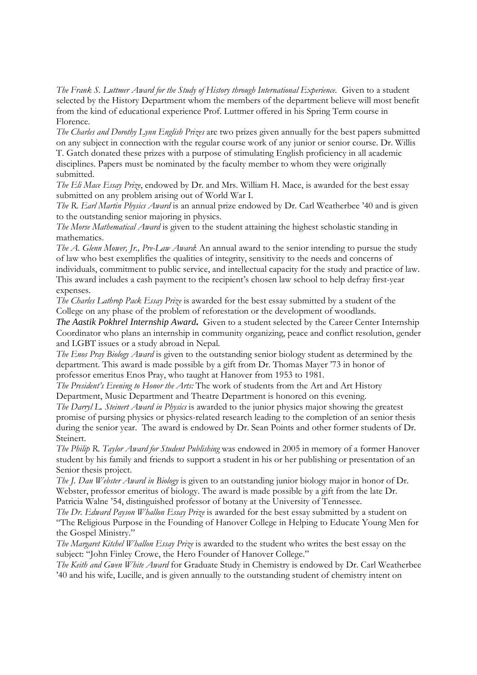*The Frank S. Luttmer Award for the Study of History through International Experience.* Given to a student selected by the History Department whom the members of the department believe will most benefit from the kind of educational experience Prof. Luttmer offered in his Spring Term course in Florence.

*The Charles and Dorothy Lynn English Prizes* are two prizes given annually for the best papers submitted on any subject in connection with the regular course work of any junior or senior course. Dr. Willis T. Gatch donated these prizes with a purpose of stimulating English proficiency in all academic disciplines. Papers must be nominated by the faculty member to whom they were originally submitted.

*The Eli Mace Essay Prize*, endowed by Dr. and Mrs. William H. Mace, is awarded for the best essay submitted on any problem arising out of World War I.

*The R. Earl Martin Physics Award* is an annual prize endowed by Dr. Carl Weatherbee '40 and is given to the outstanding senior majoring in physics.

*The Morse Mathematical Award* is given to the student attaining the highest scholastic standing in mathematics.

*The A. Glenn Mower, Jr., Pre-Law Award*: An annual award to the senior intending to pursue the study of law who best exemplifies the qualities of integrity, sensitivity to the needs and concerns of individuals, commitment to public service, and intellectual capacity for the study and practice of law. This award includes a cash payment to the recipient's chosen law school to help defray first-year expenses.

*The Charles Lathrop Pack Essay Prize* is awarded for the best essay submitted by a student of the College on any phase of the problem of reforestation or the development of woodlands.

*The Aastik Pokhrel Internship Award***.** Given to a student selected by the Career Center Internship Coordinator who plans an internship in community organizing, peace and conflict resolution, gender and LGBT issues or a study abroad in Nepal.

*The Enos Pray Biology Award* is given to the outstanding senior biology student as determined by the department. This award is made possible by a gift from Dr. Thomas Mayer '73 in honor of professor emeritus Enos Pray, who taught at Hanover from 1953 to 1981.

*The President's Evening to Honor the Arts:* The work of students from the Art and Art History Department, Music Department and Theatre Department is honored on this evening.

*The Darryl L. Steinert Award in Physics* is awarded to the junior physics major showing the greatest promise of pursing physics or physics-related research leading to the completion of an senior thesis during the senior year. The award is endowed by Dr. Sean Points and other former students of Dr. Steinert.

*The Philip R. Taylor Award for Student Publishing* was endowed in 2005 in memory of a former Hanover student by his family and friends to support a student in his or her publishing or presentation of an Senior thesis project.

*The J. Dan Webster Award in Biology* is given to an outstanding junior biology major in honor of Dr. Webster, professor emeritus of biology. The award is made possible by a gift from the late Dr. Patricia Walne '54, distinguished professor of botany at the University of Tennessee.

*The Dr. Edward Payson Whallon Essay Prize* is awarded for the best essay submitted by a student on "The Religious Purpose in the Founding of Hanover College in Helping to Educate Young Men for the Gospel Ministry."

*The Margaret Kitchel Whallon Essay Prize* is awarded to the student who writes the best essay on the subject: "John Finley Crowe, the Hero Founder of Hanover College."

*The Keith and Gwen White Award* for Graduate Study in Chemistry is endowed by Dr. Carl Weatherbee '40 and his wife, Lucille, and is given annually to the outstanding student of chemistry intent on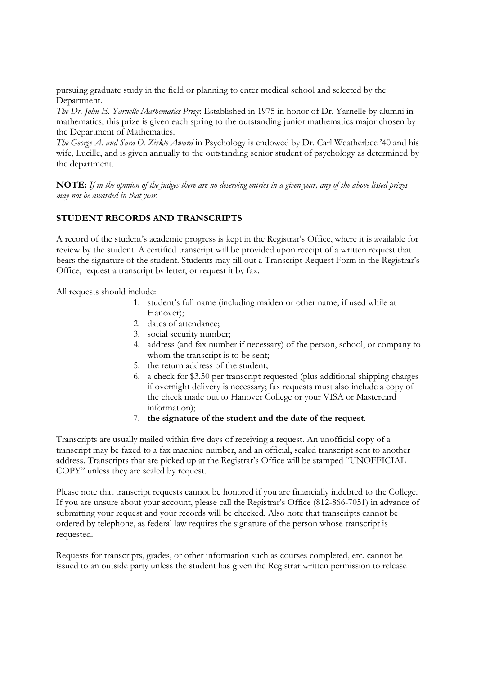pursuing graduate study in the field or planning to enter medical school and selected by the Department.

*The Dr. John E. Yarnelle Mathematics Prize*: Established in 1975 in honor of Dr. Yarnelle by alumni in mathematics, this prize is given each spring to the outstanding junior mathematics major chosen by the Department of Mathematics.

*The George A. and Sara O. Zirkle Award* in Psychology is endowed by Dr. Carl Weatherbee '40 and his wife, Lucille, and is given annually to the outstanding senior student of psychology as determined by the department.

**NOTE:** *If in the opinion of the judges there are no deserving entries in a given year, any of the above listed prizes may not be awarded in that year.* 

## **STUDENT RECORDS AND TRANSCRIPTS**

A record of the student's academic progress is kept in the Registrar's Office, where it is available for review by the student. A certified transcript will be provided upon receipt of a written request that bears the signature of the student. Students may fill out a Transcript Request Form in the Registrar's Office, request a transcript by letter, or request it by fax.

All requests should include:

- 1. student's full name (including maiden or other name, if used while at Hanover);
- 2. dates of attendance;
- 3. social security number;
- 4. address (and fax number if necessary) of the person, school, or company to whom the transcript is to be sent;
- 5. the return address of the student;
- 6. a check for \$3.50 per transcript requested (plus additional shipping charges if overnight delivery is necessary; fax requests must also include a copy of the check made out to Hanover College or your VISA or Mastercard information);
- 7. **the signature of the student and the date of the request**.

Transcripts are usually mailed within five days of receiving a request. An unofficial copy of a transcript may be faxed to a fax machine number, and an official, sealed transcript sent to another address. Transcripts that are picked up at the Registrar's Office will be stamped "UNOFFICIAL COPY" unless they are sealed by request.

Please note that transcript requests cannot be honored if you are financially indebted to the College. If you are unsure about your account, please call the Registrar's Office (812-866-7051) in advance of submitting your request and your records will be checked. Also note that transcripts cannot be ordered by telephone, as federal law requires the signature of the person whose transcript is requested.

Requests for transcripts, grades, or other information such as courses completed, etc. cannot be issued to an outside party unless the student has given the Registrar written permission to release